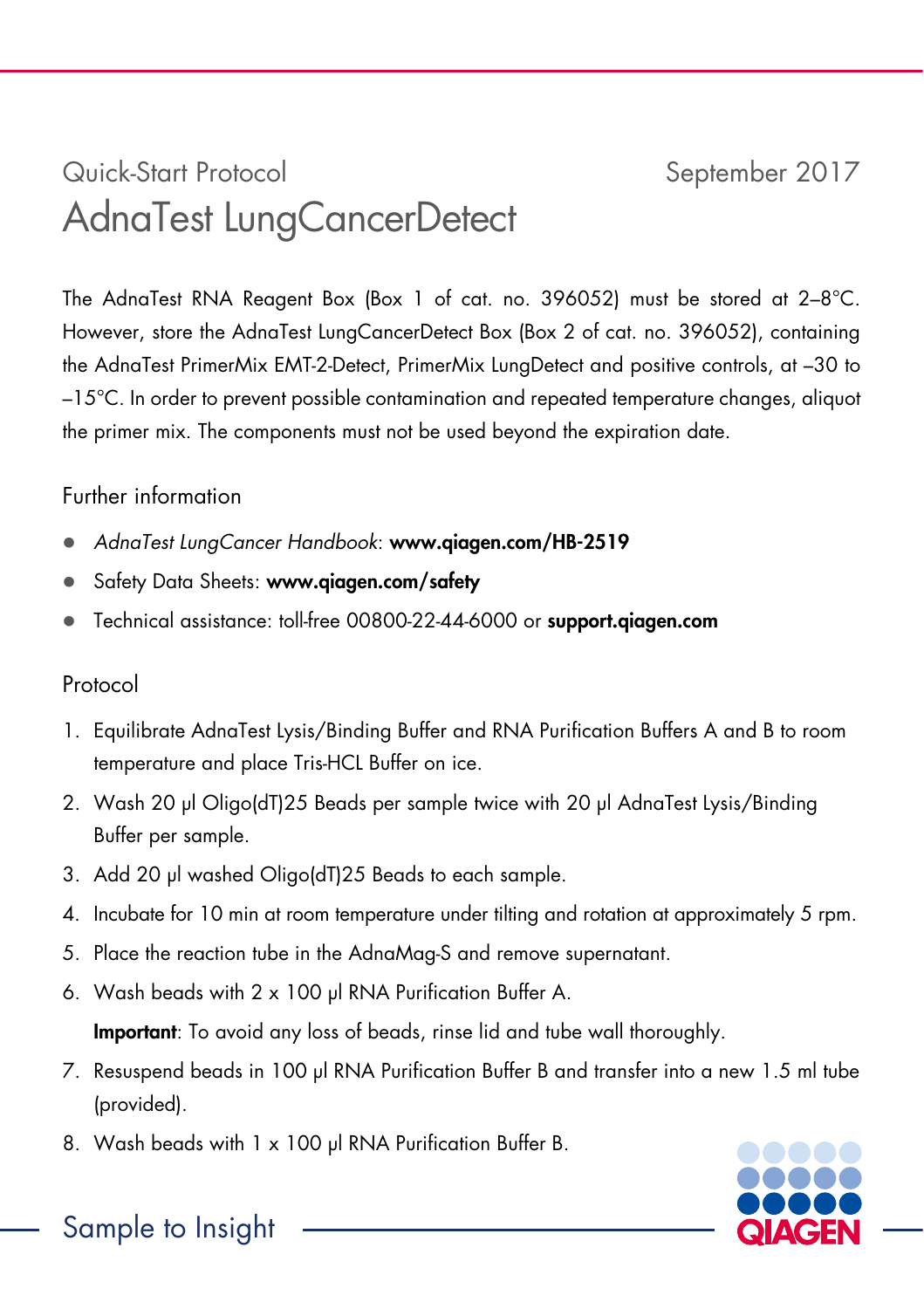# Quick-Start Protocol September 2017 AdnaTest LungCancerDetect

The AdnaTest RNA Reagent Box (Box 1 of cat. no. 396052) must be stored at 2-8°C. However, store the AdnaTest LungCancerDetect Box (Box 2 of cat. no. 396052), containing the AdnaTest PrimerMix EMT-2-Detect, PrimerMix LungDetect and positive controls, at –30 to –15°C. In order to prevent possible contamination and repeated temperature changes, aliquot the primer mix. The components must not be used beyond the expiration date.

# Further information

- AdnaTest LungCancer Handbook: www.qiagen.com/HB-2519
- Safety Data Sheets: www.qiagen.com/safety
- Technical assistance: toll-free 00800-22-44-6000 or support.qiagen.com

# Protocol

- 1. Equilibrate AdnaTest Lysis/Binding Buffer and RNA Purification Buffers A and B to room temperature and place Tris-HCL Buffer on ice.
- 2. Wash 20 μl Oligo(dT)25 Beads per sample twice with 20 μl AdnaTest Lysis/Binding Buffer per sample.
- 3. Add 20 μl washed Oligo(dT)25 Beads to each sample.
- 4. Incubate for 10 min at room temperature under tilting and rotation at approximately 5 rpm.
- 5. Place the reaction tube in the AdnaMag-S and remove supernatant.
- 6. Wash beads with 2 x 100 μl RNA Purification Buffer A.

Important: To avoid any loss of beads, rinse lid and tube wall thoroughly.

- 7. Resuspend beads in 100 μl RNA Purification Buffer B and transfer into a new 1.5 ml tube (provided).
- 8. Wash beads with 1 x 100 μl RNA Purification Buffer B.



Sample to Insight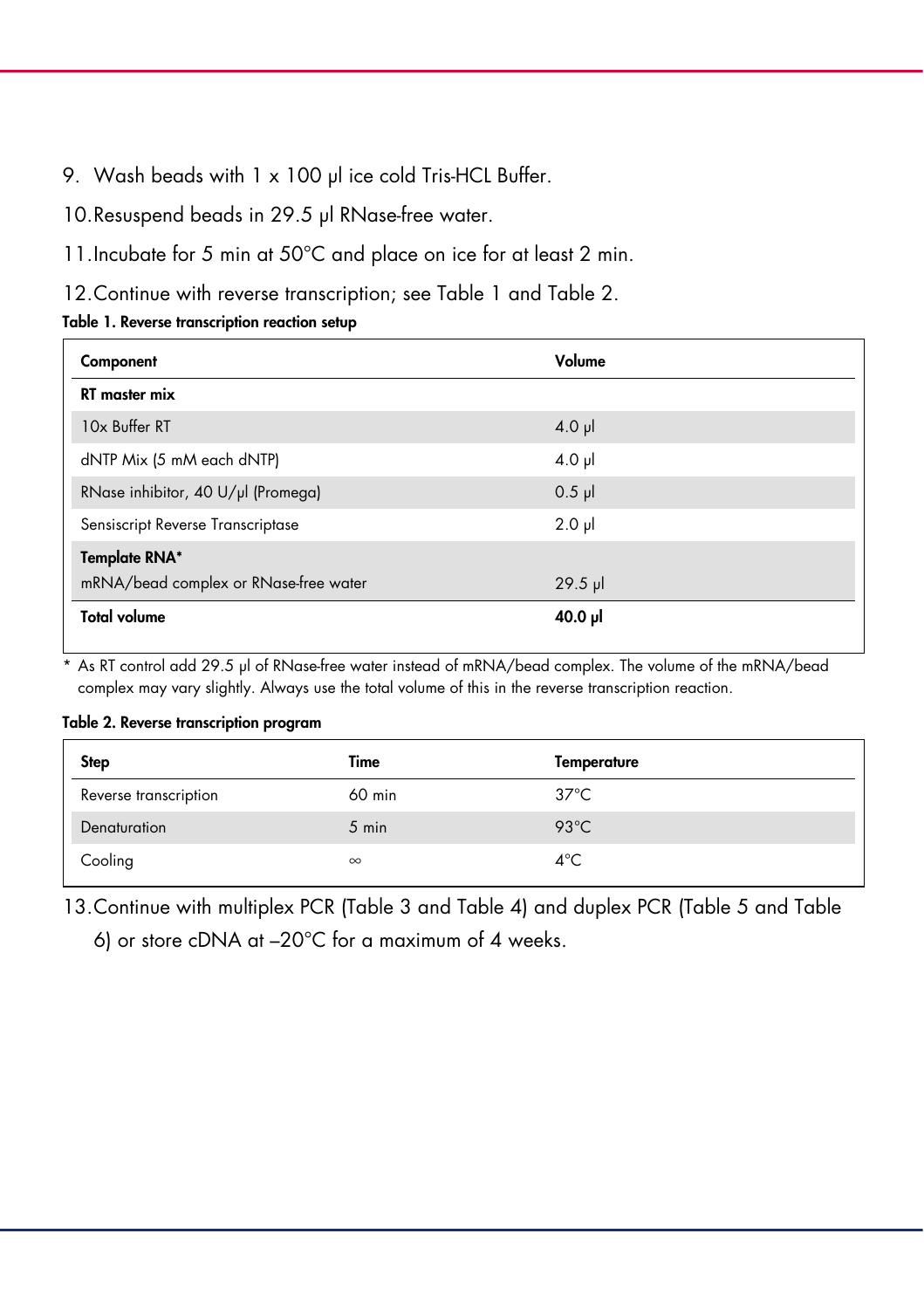- 9. Wash beads with 1 x 100 μl ice cold Tris-HCL Buffer.
- 10.Resuspend beads in 29.5 μl RNase-free water.
- 11. Incubate for 5 min at 50°C and place on ice for at least 2 min.
- 12.Continue with reverse transcription; see Table 1 and Table 2.

#### Table 1. Reverse transcription reaction setup

| Component                             | Volume      |
|---------------------------------------|-------------|
| <b>RT</b> master mix                  |             |
| 10x Buffer RT                         | $4.0$ pl    |
| dNTP Mix (5 mM each dNTP)             | $4.0$ pl    |
| RNase inhibitor, 40 U/µl (Promega)    | $0.5$ pl    |
| Sensiscript Reverse Transcriptase     | $2.0$ $\mu$ |
| <b>Template RNA*</b>                  |             |
| mRNA/bead complex or RNase-free water | $29.5$ pl   |
| <b>Total volume</b>                   | 40.0 µl     |

\* As RT control add 29.5 μl of RNase-free water instead of mRNA/bead complex. The volume of the mRNA/bead complex may vary slightly. Always use the total volume of this in the reverse transcription reaction.

#### Table 2. Reverse transcription program

| <b>Step</b>           | Time     | Temperature    |
|-----------------------|----------|----------------|
| Reverse transcription | 60 min   | $37^{\circ}$ C |
| Denaturation          | 5 min    | 93 $°C$        |
| Cooling               | $\infty$ | $4^{\circ}$ C  |

13.Continue with multiplex PCR (Table 3 and Table 4) and duplex PCR (Table 5 and Table

6) or store cDNA at –20°C for a maximum of 4 weeks.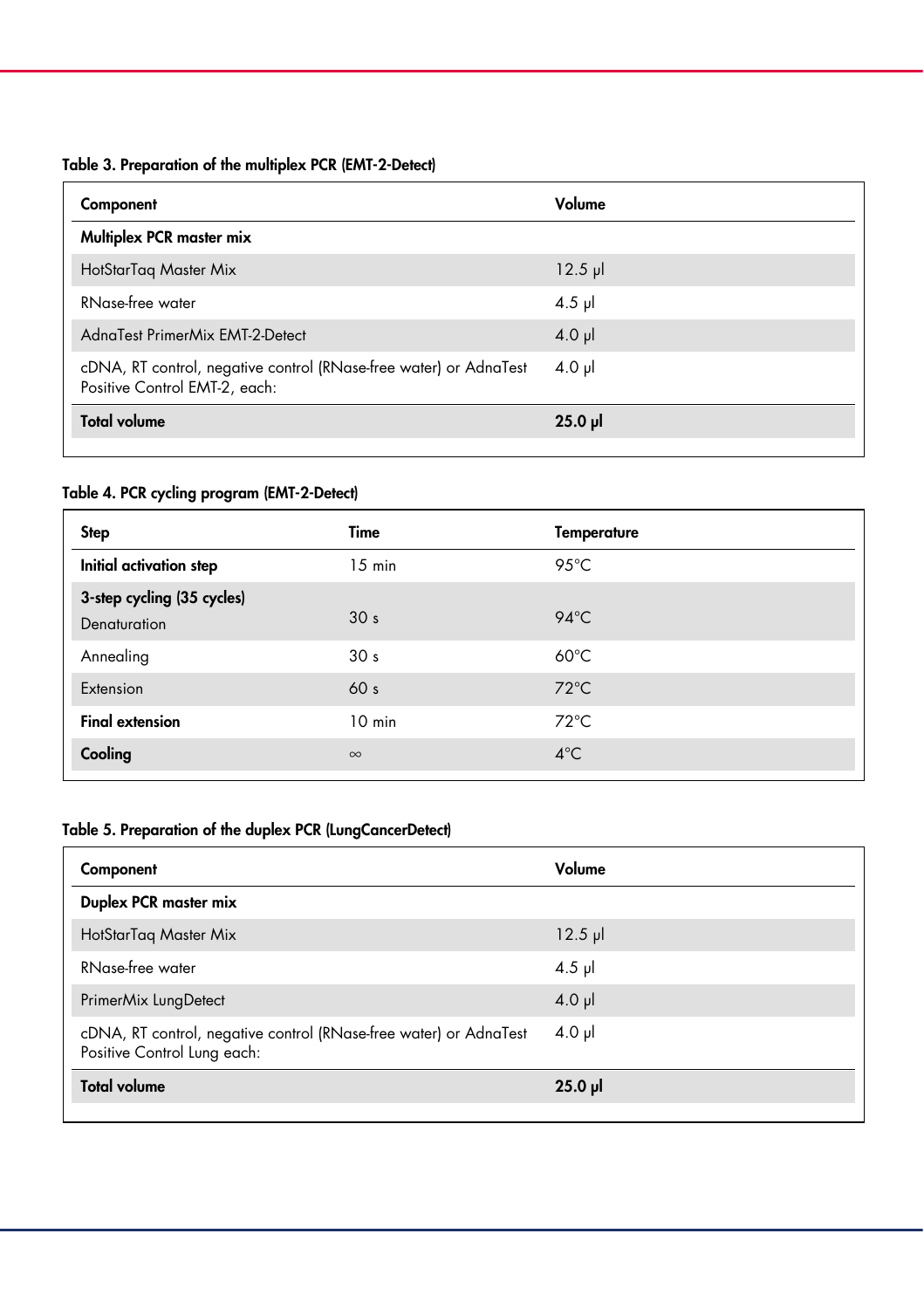## Table 3. Preparation of the multiplex PCR (EMT-2-Detect)

| Component                                                                                          | Volume    |
|----------------------------------------------------------------------------------------------------|-----------|
| Multiplex PCR master mix                                                                           |           |
| HotStarTag Master Mix                                                                              | $12.5$ pl |
| RNase-free water                                                                                   | $4.5$ µ   |
| AdnaTest PrimerMix EMT-2-Detect                                                                    | $4.0$ pl  |
| cDNA, RT control, negative control (RNase-free water) or AdnaTest<br>Positive Control EMT-2, each: | $4.0 \mu$ |
| <b>Total volume</b>                                                                                | $25.0$ pl |

## Table 4. PCR cycling program (EMT-2-Detect)

| <b>Step</b>                                | Time             | <b>Temperature</b> |
|--------------------------------------------|------------------|--------------------|
| Initial activation step                    | $15 \text{ min}$ | 95°C               |
| 3-step cycling (35 cycles)<br>Denaturation | 30 <sub>s</sub>  | $94^{\circ}$ C     |
| Annealing                                  | 30 <sub>s</sub>  | $60^{\circ}$ C     |
| Extension                                  | 60 <sub>s</sub>  | $72^{\circ}$ C     |
| <b>Final extension</b>                     | $10 \text{ min}$ | $72^{\circ}$ C     |
| Cooling                                    | $\infty$         | $4^{\circ}$ C      |

## Table 5. Preparation of the duplex PCR (LungCancerDetect)

| Component                                                                                        | Volume    |
|--------------------------------------------------------------------------------------------------|-----------|
| Duplex PCR master mix                                                                            |           |
| HotStarTag Master Mix                                                                            | $12.5$ pl |
| <b>RNase-free water</b>                                                                          | $4.5$ pl  |
| PrimerMix LungDetect                                                                             | $4.0$ pl  |
| cDNA, RT control, negative control (RNase-free water) or AdnaTest<br>Positive Control Lung each: | $4.0$ pl  |
| <b>Total volume</b>                                                                              | $25.0$ pl |